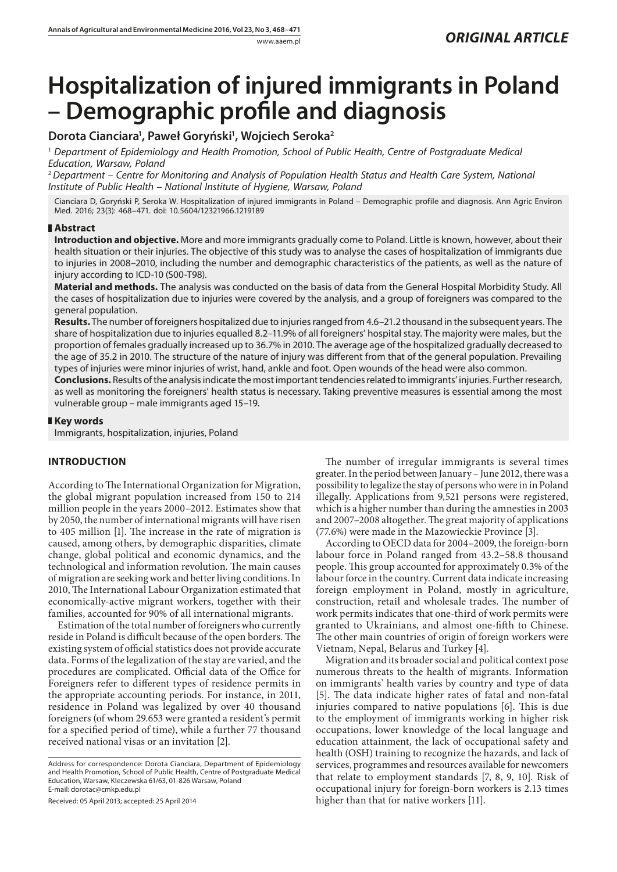# **Hospitalization of injured immigrants in Poland – Demographic profile and diagnosis**

# **Dorota Cianciara1 , Paweł Goryński1 , Wojciech Seroka2**

1  *Department of Epidemiology and Health Promotion, School of Public Health, Centre of Postgraduate Medical Education, Warsaw, Poland*

<sup>2</sup>*Department – Centre for Monitoring and Analysis of Population Health Status and Health Care System, National Institute of Public Health – National Institute of Hygiene, Warsaw, Poland*

Cianciara D, Goryński P, Seroka W. Hospitalization of injured immigrants in Poland – Demographic profile and diagnosis. Ann Agric Environ Med. 2016; 23(3): 468–471. doi: 10.5604/12321966.1219189

## **Abstract**

**Introduction and objective.** More and more immigrants gradually come to Poland. Little is known, however, about their health situation or their injuries. The objective of this study was to analyse the cases of hospitalization of immigrants due to injuries in 2008–2010, including the number and demographic characteristics of the patients, as well as the nature of injury according to ICD-10 (S00-T98).

**Material and methods.** The analysis was conducted on the basis of data from the General Hospital Morbidity Study. All the cases of hospitalization due to injuries were covered by the analysis, and a group of foreigners was compared to the general population.

**Results.** The number of foreigners hospitalized due to injuries ranged from 4.6–21.2 thousand in the subsequent years. The share of hospitalization due to injuries equalled 8.2–11.9% of all foreigners' hospital stay. The majority were males, but the proportion of females gradually increased up to 36.7% in 2010. The average age of the hospitalized gradually decreased to the age of 35.2 in 2010. The structure of the nature of injury was different from that of the general population. Prevailing types of injuries were minor injuries of wrist, hand, ankle and foot. Open wounds of the head were also common.

**Conclusions.** Results of the analysis indicate the most important tendencies related to immigrants' injuries. Further research, as well as monitoring the foreigners' health status is necessary. Taking preventive measures is essential among the most vulnerable group – male immigrants aged 15–19.

## **Key words**

Immigrants, hospitalization, injuries, Poland

# **INTRODUCTION**

According to The International Organization for Migration, the global migrant population increased from 150 to 214 million people in the years 2000–2012. Estimates show that by 2050, the number of international migrants will have risen to 405 million [1]. The increase in the rate of migration is caused, among others, by demographic disparities, climate change, global political and economic dynamics, and the technological and information revolution. The main causes of migration are seeking work and better living conditions. In 2010, The International Labour Organization estimated that economically-active migrant workers, together with their families, accounted for 90% of all international migrants.

Estimation of the total number of foreigners who currently reside in Poland is difficult because of the open borders. The existing system of official statistics does not provide accurate data. Forms of the legalization of the stay are varied, and the procedures are complicated. Official data of the Office for Foreigners refer to different types of residence permits in the appropriate accounting periods. For instance, in 2011, residence in Poland was legalized by over 40 thousand foreigners (of whom 29.653 were granted a resident's permit for a specified period of time), while a further 77 thousand received national visas or an invitation [2].

Received: 05 April 2013; accepted: 25 April 2014

The number of irregular immigrants is several times greater. In the period between January – June 2012, there was a possibility to legalize the stay of persons who were in in Poland illegally. Applications from 9,521 persons were registered, which is a higher number than during the amnesties in 2003 and 2007–2008 altogether. The great majority of applications (77.6%) were made in the Mazowieckie Province [3].

According to OECD data for 2004–2009, the foreign-born labour force in Poland ranged from 43.2–58.8 thousand people. This group accounted for approximately 0.3% of the labour force in the country. Current data indicate increasing foreign employment in Poland, mostly in agriculture, construction, retail and wholesale trades. The number of work permits indicates that one-third of work permits were granted to Ukrainians, and almost one-fifth to Chinese. The other main countries of origin of foreign workers were Vietnam, Nepal, Belarus and Turkey [4].

Migration and its broader social and political context pose numerous threats to the health of migrants. Information on immigrants' health varies by country and type of data [5]. The data indicate higher rates of fatal and non-fatal injuries compared to native populations [6]. This is due to the employment of immigrants working in higher risk occupations, lower knowledge of the local language and education attainment, the lack of occupational safety and health (OSH) training to recognize the hazards, and lack of services, programmes and resources available for newcomers that relate to employment standards [7, 8, 9, 10]. Risk of occupational injury for foreign-born workers is 2.13 times higher than that for native workers [11].

Address for correspondence: Dorota Cianciara, Department of Epidemiology and Health Promotion, School of Public Health, Centre of Postgraduate Medical Education, Warsaw, Kleczewska 61/63, 01-826 Warsaw, Poland E-mail: dorotac@cmkp.edu.pl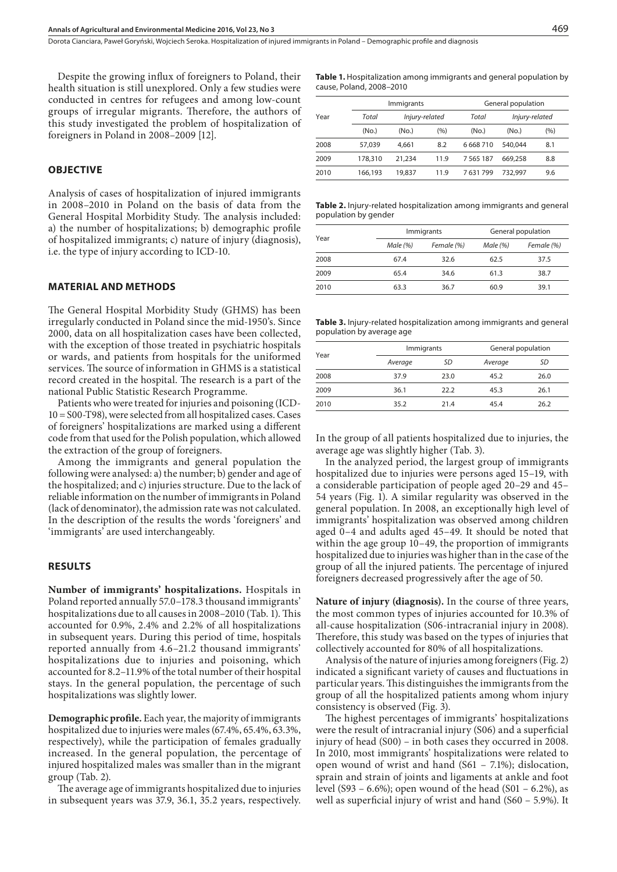Despite the growing influx of foreigners to Poland, their health situation is still unexplored. Only a few studies were conducted in centres for refugees and among low-count groups of irregular migrants. Therefore, the authors of this study investigated the problem of hospitalization of foreigners in Poland in 2008–2009 [12].

## **OBJECTIVE**

Analysis of cases of hospitalization of injured immigrants in 2008–2010 in Poland on the basis of data from the General Hospital Morbidity Study. The analysis included: a) the number of hospitalizations; b) demographic profile of hospitalized immigrants; c) nature of injury (diagnosis), i.e. the type of injury according to ICD-10.

#### **MATERIAL AND METHODS**

The General Hospital Morbidity Study (GHMS) has been irregularly conducted in Poland since the mid-1950's. Since 2000, data on all hospitalization cases have been collected, with the exception of those treated in psychiatric hospitals or wards, and patients from hospitals for the uniformed services. The source of information in GHMS is a statistical record created in the hospital. The research is a part of the national Public Statistic Research Programme.

Patients who were treated for injuries and poisoning (ICD-10 = S00-T98), were selected from all hospitalized cases. Cases of foreigners' hospitalizations are marked using a different code from that used for the Polish population, which allowed the extraction of the group of foreigners.

Among the immigrants and general population the following were analysed: a) the number; b) gender and age of the hospitalized; and c) injuries structure. Due to the lack of reliable information on the number of immigrants in Poland (lack of denominator), the admission rate was not calculated. In the description of the results the words 'foreigners' and 'immigrants' are used interchangeably.

#### **RESULTS**

**Number of immigrants' hospitalizations.** Hospitals in Poland reported annually 57.0–178.3 thousand immigrants' hospitalizations due to all causes in 2008–2010 (Tab. 1). This accounted for 0.9%, 2.4% and 2.2% of all hospitalizations in subsequent years. During this period of time, hospitals reported annually from 4.6–21.2 thousand immigrants' hospitalizations due to injuries and poisoning, which accounted for 8.2–11.9% of the total number of their hospital stays. In the general population, the percentage of such hospitalizations was slightly lower.

**Demographic profile.** Each year, the majority of immigrants hospitalized due to injuries were males (67.4%, 65.4%, 63.3%, respectively), while the participation of females gradually increased. In the general population, the percentage of injured hospitalized males was smaller than in the migrant group (Tab. 2).

The average age of immigrants hospitalized due to injuries in subsequent years was 37.9, 36.1, 35.2 years, respectively. **Table 1.** Hospitalization among immigrants and general population by cause, Poland, 2008–2010

|      |         | <b>Immigrants</b> |       | General population |                   |     |  |
|------|---------|-------------------|-------|--------------------|-------------------|-----|--|
| Year | Total   | Injury-related    |       | Total              | Injury-related    |     |  |
|      | (No.)   | (No)              | (9/0) | (N <sub>O</sub> )  | (N <sub>O</sub> ) | (%) |  |
| 2008 | 57.039  | 4.661             | 8.2   | 6668710            | 540.044           | 8.1 |  |
| 2009 | 178,310 | 21,234            | 11.9  | 7 5 6 5 1 8 7      | 669,258           | 8.8 |  |
| 2010 | 166.193 | 19,837            | 11.9  | 7631799            | 732.997           | 9.6 |  |

**Table 2.** Injury-related hospitalization among immigrants and general population by gender

|      |         | Immigrants | General population |            |  |
|------|---------|------------|--------------------|------------|--|
| Year | Male(%) | Female (%) | Male (%)           | Female (%) |  |
| 2008 | 67.4    | 32.6       | 62.5               | 37.5       |  |
| 2009 | 65.4    | 34.6       | 61.3               | 38.7       |  |
| 2010 | 63.3    | 36.7       | 60.9               | 39.1       |  |

**Table 3.** Injury-related hospitalization among immigrants and general population by average age

|      | Immigrants |      | General population |      |  |
|------|------------|------|--------------------|------|--|
| Year | Average    | SD   | Average            | SD   |  |
| 2008 | 37.9       | 23.0 | 45.2               | 26.0 |  |
| 2009 | 36.1       | 22.2 | 45.3               | 26.1 |  |
| 2010 | 35.2       | 21.4 | 45.4               | 26.2 |  |

In the group of all patients hospitalized due to injuries, the average age was slightly higher (Tab. 3).

In the analyzed period, the largest group of immigrants hospitalized due to injuries were persons aged 15–19, with a considerable participation of people aged 20–29 and 45– 54 years (Fig. 1). A similar regularity was observed in the general population. In 2008, an exceptionally high level of immigrants' hospitalization was observed among children aged 0–4 and adults aged 45–49. It should be noted that within the age group 10–49, the proportion of immigrants hospitalized due to injuries was higher than in the case of the group of all the injured patients. The percentage of injured foreigners decreased progressively after the age of 50.

**Nature of injury (diagnosis).** In the course of three years, the most common types of injuries accounted for 10.3% of all-cause hospitalization (S06-intracranial injury in 2008). Therefore, this study was based on the types of injuries that collectively accounted for 80% of all hospitalizations.

Analysis of the nature of injuries among foreigners (Fig. 2) indicated a significant variety of causes and fluctuations in particular years. This distinguishes the immigrants from the group of all the hospitalized patients among whom injury consistency is observed (Fig. 3).

The highest percentages of immigrants' hospitalizations were the result of intracranial injury (S06) and a superficial injury of head (S00) – in both cases they occurred in 2008. In 2010, most immigrants' hospitalizations were related to open wound of wrist and hand (S61 – 7.1%); dislocation, sprain and strain of joints and ligaments at ankle and foot level (S93 – 6.6%); open wound of the head (S01 – 6.2%), as well as superficial injury of wrist and hand (S60 – 5.9%). It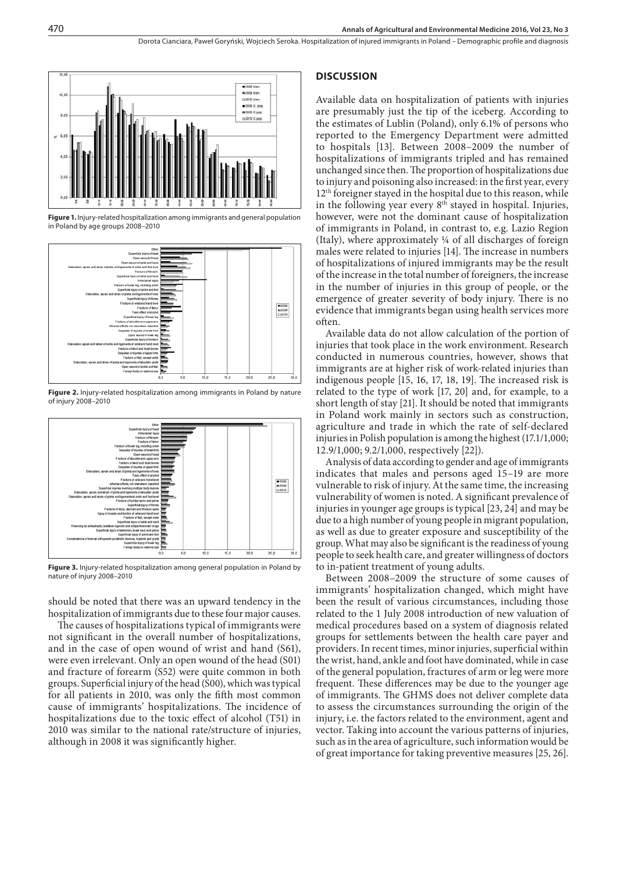

**Figure 1.** Injury-related hospitalization among immigrants and general population in Poland by age groups 2008–2010



**Figure 2.** Injury-related hospitalization among immigrants in Poland by nature of injury 2008–2010



**Figure 3.** Injury-related hospitalization among general population in Poland by nature of injury 2008–2010

should be noted that there was an upward tendency in the hospitalization of immigrants due to these four major causes.

The causes of hospitalizations typical of immigrants were not significant in the overall number of hospitalizations, and in the case of open wound of wrist and hand (S61), were even irrelevant. Only an open wound of the head (S01) and fracture of forearm (S52) were quite common in both groups. Superficial injury of the head (S00), which was typical for all patients in 2010, was only the fifth most common cause of immigrants' hospitalizations. The incidence of hospitalizations due to the toxic effect of alcohol (T51) in 2010 was similar to the national rate/structure of injuries, although in 2008 it was significantly higher.

#### **DISCUSSION**

Available data on hospitalization of patients with injuries are presumably just the tip of the iceberg. According to the estimates of Lublin (Poland), only 6.1% of persons who reported to the Emergency Department were admitted to hospitals [13]. Between 2008–2009 the number of hospitalizations of immigrants tripled and has remained unchanged since then. The proportion of hospitalizations due to injury and poisoning also increased: in the first year, every 12<sup>th</sup> foreigner stayed in the hospital due to this reason, while in the following year every  $8<sup>th</sup>$  stayed in hospital. Injuries, however, were not the dominant cause of hospitalization of immigrants in Poland, in contrast to, e.g. Lazio Region (Italy), where approximately ¼ of all discharges of foreign males were related to injuries [14]. The increase in numbers of hospitalizations of injured immigrants may be the result of the increase in the total number of foreigners, the increase in the number of injuries in this group of people, or the emergence of greater severity of body injury. There is no evidence that immigrants began using health services more often.

Available data do not allow calculation of the portion of injuries that took place in the work environment. Research conducted in numerous countries, however, shows that immigrants are at higher risk of work-related injuries than indigenous people [15, 16, 17, 18, 19]. The increased risk is related to the type of work [17, 20] and, for example, to a short length of stay [21]. It should be noted that immigrants in Poland work mainly in sectors such as construction, agriculture and trade in which the rate of self-declared injuries in Polish population is among the highest (17.1/1,000; 12.9/1,000; 9.2/1,000, respectively [22]).

Analysis of data according to gender and age of immigrants indicates that males and persons aged 15–19 are more vulnerable to risk of injury. At the same time, the increasing vulnerability of women is noted. A significant prevalence of injuries in younger age groups is typical [23, 24] and may be due to a high number of young people in migrant population, as well as due to greater exposure and susceptibility of the group. What may also be significant is the readiness of young people to seek health care, and greater willingness of doctors to in-patient treatment of young adults.

Between 2008–2009 the structure of some causes of immigrants' hospitalization changed, which might have been the result of various circumstances, including those related to the 1 July 2008 introduction of new valuation of medical procedures based on a system of diagnosis related groups for settlements between the health care payer and providers. In recent times, minor injuries, superficial within the wrist, hand, ankle and foot have dominated, while in case of the general population, fractures of arm or leg were more frequent. These differences may be due to the younger age of immigrants. The GHMS does not deliver complete data to assess the circumstances surrounding the origin of the injury, i.e. the factors related to the environment, agent and vector. Taking into account the various patterns of injuries, such as in the area of agriculture, such information would be of great importance for taking preventive measures [25, 26].